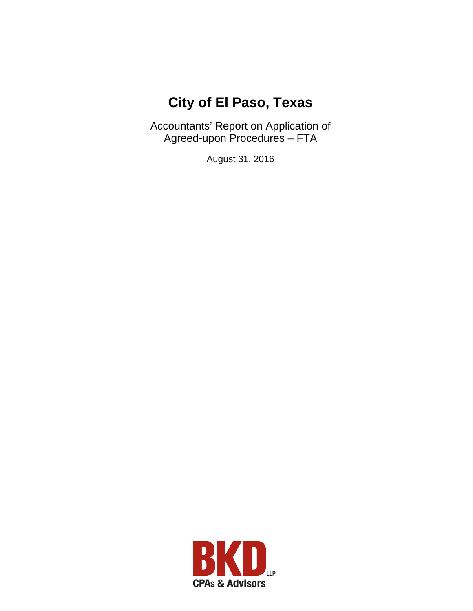# **City of El Paso, Texas**

Accountants' Report on Application of Agreed-upon Procedures – FTA

August 31, 2016

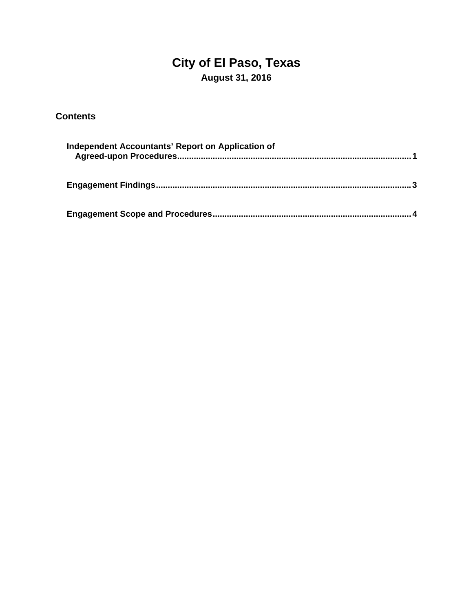## **City of El Paso, Texas August 31, 2016**

### **Contents**

| Independent Accountants' Report on Application of |  |
|---------------------------------------------------|--|
|                                                   |  |
|                                                   |  |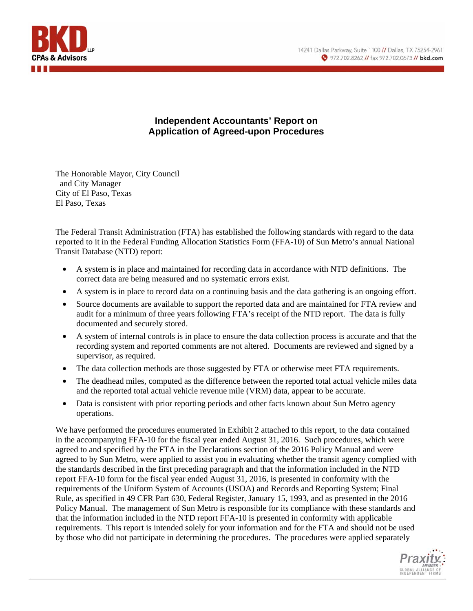

#### **Independent Accountants' Report on Application of Agreed-upon Procedures**

The Honorable Mayor, City Council and City Manager City of El Paso, Texas El Paso, Texas

The Federal Transit Administration (FTA) has established the following standards with regard to the data reported to it in the Federal Funding Allocation Statistics Form (FFA-10) of Sun Metro's annual National Transit Database (NTD) report:

- A system is in place and maintained for recording data in accordance with NTD definitions. The correct data are being measured and no systematic errors exist.
- A system is in place to record data on a continuing basis and the data gathering is an ongoing effort.
- Source documents are available to support the reported data and are maintained for FTA review and audit for a minimum of three years following FTA's receipt of the NTD report. The data is fully documented and securely stored.
- A system of internal controls is in place to ensure the data collection process is accurate and that the recording system and reported comments are not altered. Documents are reviewed and signed by a supervisor, as required.
- The data collection methods are those suggested by FTA or otherwise meet FTA requirements.
- The deadhead miles, computed as the difference between the reported total actual vehicle miles data and the reported total actual vehicle revenue mile (VRM) data, appear to be accurate.
- Data is consistent with prior reporting periods and other facts known about Sun Metro agency operations.

We have performed the procedures enumerated in Exhibit 2 attached to this report, to the data contained in the accompanying FFA-10 for the fiscal year ended August 31, 2016. Such procedures, which were agreed to and specified by the FTA in the Declarations section of the 2016 Policy Manual and were agreed to by Sun Metro, were applied to assist you in evaluating whether the transit agency complied with the standards described in the first preceding paragraph and that the information included in the NTD report FFA-10 form for the fiscal year ended August 31, 2016, is presented in conformity with the requirements of the Uniform System of Accounts (USOA) and Records and Reporting System; Final Rule, as specified in 49 CFR Part 630, Federal Register, January 15, 1993, and as presented in the 2016 Policy Manual. The management of Sun Metro is responsible for its compliance with these standards and that the information included in the NTD report FFA-10 is presented in conformity with applicable requirements. This report is intended solely for your information and for the FTA and should not be used by those who did not participate in determining the procedures. The procedures were applied separately

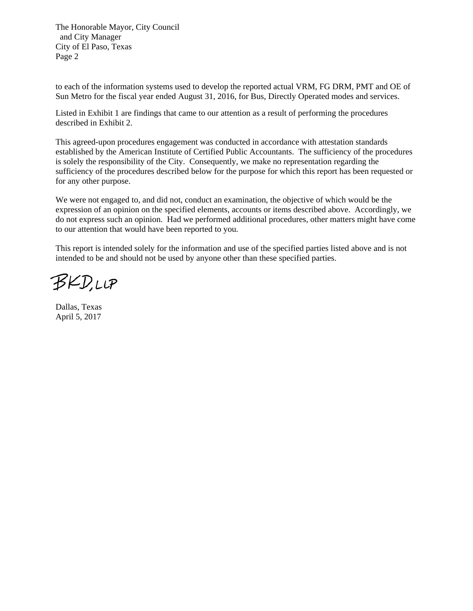The Honorable Mayor, City Council and City Manager City of El Paso, Texas Page 2

to each of the information systems used to develop the reported actual VRM, FG DRM, PMT and OE of Sun Metro for the fiscal year ended August 31, 2016, for Bus, Directly Operated modes and services.

Listed in Exhibit 1 are findings that came to our attention as a result of performing the procedures described in Exhibit 2.

This agreed-upon procedures engagement was conducted in accordance with attestation standards established by the American Institute of Certified Public Accountants. The sufficiency of the procedures is solely the responsibility of the City. Consequently, we make no representation regarding the sufficiency of the procedures described below for the purpose for which this report has been requested or for any other purpose.

We were not engaged to, and did not, conduct an examination, the objective of which would be the expression of an opinion on the specified elements, accounts or items described above. Accordingly, we do not express such an opinion. Had we performed additional procedures, other matters might have come to our attention that would have been reported to you.

This report is intended solely for the information and use of the specified parties listed above and is not intended to be and should not be used by anyone other than these specified parties.

**BKD,LLP** 

Dallas, Texas April 5, 2017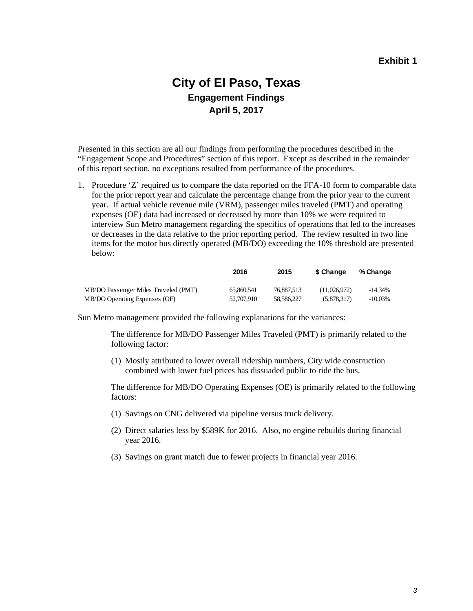### **City of El Paso, Texas Engagement Findings April 5, 2017**

Presented in this section are all our findings from performing the procedures described in the "Engagement Scope and Procedures" section of this report. Except as described in the remainder of this report section, no exceptions resulted from performance of the procedures.

1. Procedure 'Z' required us to compare the data reported on the FFA-10 form to comparable data for the prior report year and calculate the percentage change from the prior year to the current year. If actual vehicle revenue mile (VRM), passenger miles traveled (PMT) and operating expenses (OE) data had increased or decreased by more than 10% we were required to interview Sun Metro management regarding the specifics of operations that led to the increases or decreases in the data relative to the prior reporting period. The review resulted in two line items for the motor bus directly operated (MB/DO) exceeding the 10% threshold are presented below:

|                                      | 2016       | 2015       | <b>S</b> Change | % Change   |
|--------------------------------------|------------|------------|-----------------|------------|
| MB/DO Passenger Miles Traveled (PMT) | 65,860,541 | 76,887,513 | (11.026.972)    | $-14.34%$  |
| MB/DO Operating Expenses (OE)        | 52,707,910 | 58,586,227 | (5.878.317)     | $-10.03\%$ |

Sun Metro management provided the following explanations for the variances:

The difference for MB/DO Passenger Miles Traveled (PMT) is primarily related to the following factor:

(1) Mostly attributed to lower overall ridership numbers, City wide construction combined with lower fuel prices has dissuaded public to ride the bus.

The difference for MB/DO Operating Expenses (OE) is primarily related to the following factors:

- (1) Savings on CNG delivered via pipeline versus truck delivery.
- (2) Direct salaries less by \$589K for 2016. Also, no engine rebuilds during financial year 2016.
- (3) Savings on grant match due to fewer projects in financial year 2016.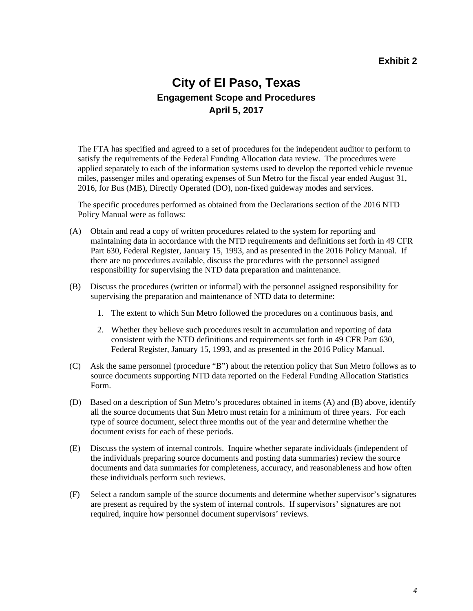### **City of El Paso, Texas Engagement Scope and Procedures April 5, 2017**

The FTA has specified and agreed to a set of procedures for the independent auditor to perform to satisfy the requirements of the Federal Funding Allocation data review. The procedures were applied separately to each of the information systems used to develop the reported vehicle revenue miles, passenger miles and operating expenses of Sun Metro for the fiscal year ended August 31, 2016, for Bus (MB), Directly Operated (DO), non-fixed guideway modes and services.

The specific procedures performed as obtained from the Declarations section of the 2016 NTD Policy Manual were as follows:

- (A) Obtain and read a copy of written procedures related to the system for reporting and maintaining data in accordance with the NTD requirements and definitions set forth in 49 CFR Part 630, Federal Register, January 15, 1993, and as presented in the 2016 Policy Manual. If there are no procedures available, discuss the procedures with the personnel assigned responsibility for supervising the NTD data preparation and maintenance.
- (B) Discuss the procedures (written or informal) with the personnel assigned responsibility for supervising the preparation and maintenance of NTD data to determine:
	- 1. The extent to which Sun Metro followed the procedures on a continuous basis, and
	- 2. Whether they believe such procedures result in accumulation and reporting of data consistent with the NTD definitions and requirements set forth in 49 CFR Part 630, Federal Register, January 15, 1993, and as presented in the 2016 Policy Manual.
- (C) Ask the same personnel (procedure "B") about the retention policy that Sun Metro follows as to source documents supporting NTD data reported on the Federal Funding Allocation Statistics Form.
- (D) Based on a description of Sun Metro's procedures obtained in items (A) and (B) above, identify all the source documents that Sun Metro must retain for a minimum of three years. For each type of source document, select three months out of the year and determine whether the document exists for each of these periods.
- (E) Discuss the system of internal controls. Inquire whether separate individuals (independent of the individuals preparing source documents and posting data summaries) review the source documents and data summaries for completeness, accuracy, and reasonableness and how often these individuals perform such reviews.
- (F) Select a random sample of the source documents and determine whether supervisor's signatures are present as required by the system of internal controls. If supervisors' signatures are not required, inquire how personnel document supervisors' reviews.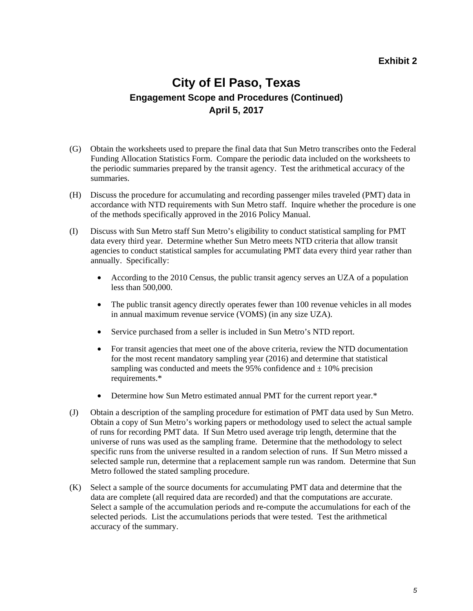### **City of El Paso, Texas Engagement Scope and Procedures (Continued) April 5, 2017**

- (G) Obtain the worksheets used to prepare the final data that Sun Metro transcribes onto the Federal Funding Allocation Statistics Form. Compare the periodic data included on the worksheets to the periodic summaries prepared by the transit agency. Test the arithmetical accuracy of the summaries.
- (H) Discuss the procedure for accumulating and recording passenger miles traveled (PMT) data in accordance with NTD requirements with Sun Metro staff. Inquire whether the procedure is one of the methods specifically approved in the 2016 Policy Manual.
- (I) Discuss with Sun Metro staff Sun Metro's eligibility to conduct statistical sampling for PMT data every third year. Determine whether Sun Metro meets NTD criteria that allow transit agencies to conduct statistical samples for accumulating PMT data every third year rather than annually. Specifically:
	- According to the 2010 Census, the public transit agency serves an UZA of a population less than 500,000.
	- The public transit agency directly operates fewer than 100 revenue vehicles in all modes in annual maximum revenue service (VOMS) (in any size UZA).
	- Service purchased from a seller is included in Sun Metro's NTD report.
	- For transit agencies that meet one of the above criteria, review the NTD documentation for the most recent mandatory sampling year (2016) and determine that statistical sampling was conducted and meets the 95% confidence and  $\pm$  10% precision requirements.\*
	- Determine how Sun Metro estimated annual PMT for the current report year.\*
- (J) Obtain a description of the sampling procedure for estimation of PMT data used by Sun Metro. Obtain a copy of Sun Metro's working papers or methodology used to select the actual sample of runs for recording PMT data. If Sun Metro used average trip length, determine that the universe of runs was used as the sampling frame. Determine that the methodology to select specific runs from the universe resulted in a random selection of runs. If Sun Metro missed a selected sample run, determine that a replacement sample run was random. Determine that Sun Metro followed the stated sampling procedure.
- (K) Select a sample of the source documents for accumulating PMT data and determine that the data are complete (all required data are recorded) and that the computations are accurate. Select a sample of the accumulation periods and re-compute the accumulations for each of the selected periods. List the accumulations periods that were tested. Test the arithmetical accuracy of the summary.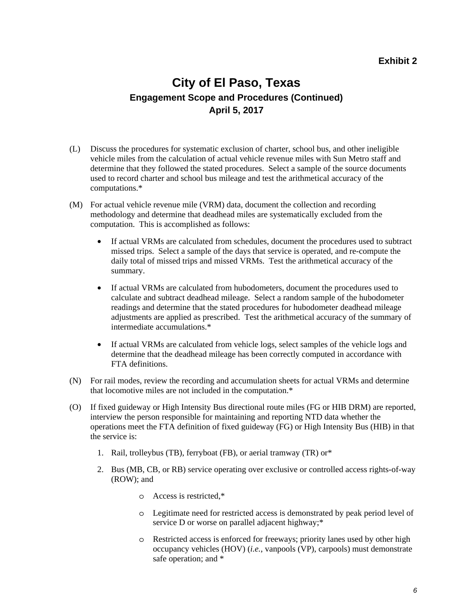### **City of El Paso, Texas Engagement Scope and Procedures (Continued) April 5, 2017**

- (L) Discuss the procedures for systematic exclusion of charter, school bus, and other ineligible vehicle miles from the calculation of actual vehicle revenue miles with Sun Metro staff and determine that they followed the stated procedures. Select a sample of the source documents used to record charter and school bus mileage and test the arithmetical accuracy of the computations.\*
- (M) For actual vehicle revenue mile (VRM) data, document the collection and recording methodology and determine that deadhead miles are systematically excluded from the computation. This is accomplished as follows:
	- If actual VRMs are calculated from schedules, document the procedures used to subtract missed trips. Select a sample of the days that service is operated, and re-compute the daily total of missed trips and missed VRMs. Test the arithmetical accuracy of the summary.
	- If actual VRMs are calculated from hubodometers, document the procedures used to calculate and subtract deadhead mileage. Select a random sample of the hubodometer readings and determine that the stated procedures for hubodometer deadhead mileage adjustments are applied as prescribed. Test the arithmetical accuracy of the summary of intermediate accumulations.\*
	- If actual VRMs are calculated from vehicle logs, select samples of the vehicle logs and determine that the deadhead mileage has been correctly computed in accordance with FTA definitions.
- (N) For rail modes, review the recording and accumulation sheets for actual VRMs and determine that locomotive miles are not included in the computation.\*
- (O) If fixed guideway or High Intensity Bus directional route miles (FG or HIB DRM) are reported, interview the person responsible for maintaining and reporting NTD data whether the operations meet the FTA definition of fixed guideway (FG) or High Intensity Bus (HIB) in that the service is:
	- 1. Rail, trolleybus (TB), ferryboat (FB), or aerial tramway (TR) or\*
	- 2. Bus (MB, CB, or RB) service operating over exclusive or controlled access rights-of-way (ROW); and
		- o Access is restricted,\*
		- o Legitimate need for restricted access is demonstrated by peak period level of service D or worse on parallel adjacent highway;\*
		- o Restricted access is enforced for freeways; priority lanes used by other high occupancy vehicles (HOV) (*i.e.*, vanpools (VP), carpools) must demonstrate safe operation; and \*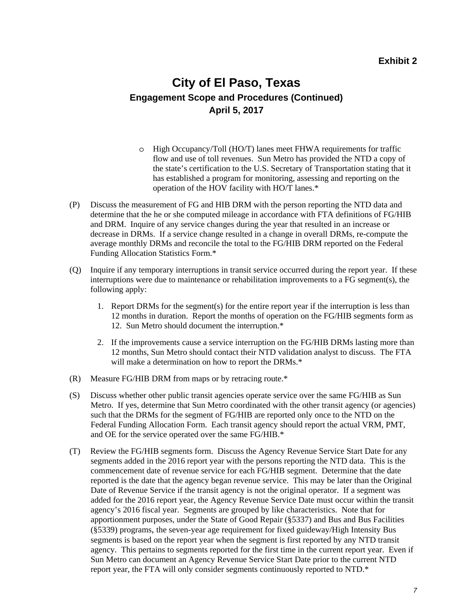### **City of El Paso, Texas Engagement Scope and Procedures (Continued) April 5, 2017**

- o High Occupancy/Toll (HO/T) lanes meet FHWA requirements for traffic flow and use of toll revenues. Sun Metro has provided the NTD a copy of the state's certification to the U.S. Secretary of Transportation stating that it has established a program for monitoring, assessing and reporting on the operation of the HOV facility with HO/T lanes.\*
- (P) Discuss the measurement of FG and HIB DRM with the person reporting the NTD data and determine that the he or she computed mileage in accordance with FTA definitions of FG/HIB and DRM. Inquire of any service changes during the year that resulted in an increase or decrease in DRMs. If a service change resulted in a change in overall DRMs, re-compute the average monthly DRMs and reconcile the total to the FG/HIB DRM reported on the Federal Funding Allocation Statistics Form.\*
- (Q) Inquire if any temporary interruptions in transit service occurred during the report year. If these interruptions were due to maintenance or rehabilitation improvements to a FG segment(s), the following apply:
	- 1. Report DRMs for the segment(s) for the entire report year if the interruption is less than 12 months in duration. Report the months of operation on the FG/HIB segments form as 12. Sun Metro should document the interruption.\*
	- 2. If the improvements cause a service interruption on the FG/HIB DRMs lasting more than 12 months, Sun Metro should contact their NTD validation analyst to discuss. The FTA will make a determination on how to report the DRMs.<sup>\*</sup>
- (R) Measure FG/HIB DRM from maps or by retracing route.\*
- (S) Discuss whether other public transit agencies operate service over the same FG/HIB as Sun Metro. If yes, determine that Sun Metro coordinated with the other transit agency (or agencies) such that the DRMs for the segment of FG/HIB are reported only once to the NTD on the Federal Funding Allocation Form. Each transit agency should report the actual VRM, PMT, and OE for the service operated over the same FG/HIB.\*
- (T) Review the FG/HIB segments form. Discuss the Agency Revenue Service Start Date for any segments added in the 2016 report year with the persons reporting the NTD data. This is the commencement date of revenue service for each FG/HIB segment. Determine that the date reported is the date that the agency began revenue service. This may be later than the Original Date of Revenue Service if the transit agency is not the original operator. If a segment was added for the 2016 report year, the Agency Revenue Service Date must occur within the transit agency's 2016 fiscal year. Segments are grouped by like characteristics. Note that for apportionment purposes, under the State of Good Repair (§5337) and Bus and Bus Facilities (§5339) programs, the seven-year age requirement for fixed guideway/High Intensity Bus segments is based on the report year when the segment is first reported by any NTD transit agency. This pertains to segments reported for the first time in the current report year. Even if Sun Metro can document an Agency Revenue Service Start Date prior to the current NTD report year, the FTA will only consider segments continuously reported to NTD.\*